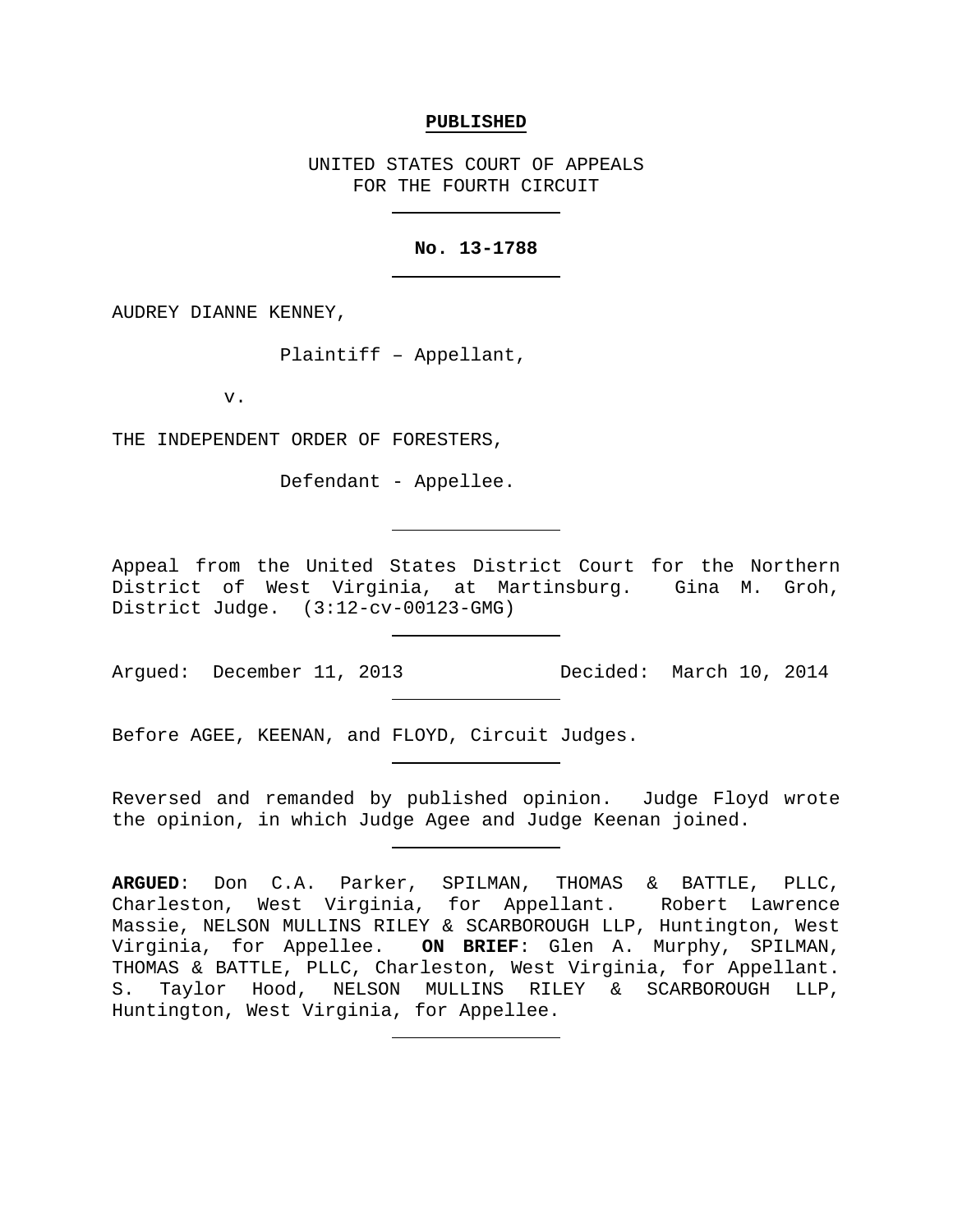### **PUBLISHED**

UNITED STATES COURT OF APPEALS FOR THE FOURTH CIRCUIT

## **No. 13-1788**

AUDREY DIANNE KENNEY,

Plaintiff – Appellant,

v.

THE INDEPENDENT ORDER OF FORESTERS,

Defendant - Appellee.

Appeal from the United States District Court for the Northern District of West Virginia, at Martinsburg. Gina M. Groh, District Judge. (3:12-cv-00123-GMG)

Argued: December 11, 2013 Decided: March 10, 2014

Before AGEE, KEENAN, and FLOYD, Circuit Judges.

Reversed and remanded by published opinion. Judge Floyd wrote the opinion, in which Judge Agee and Judge Keenan joined.

**ARGUED**: Don C.A. Parker, SPILMAN, THOMAS & BATTLE, PLLC, Charleston, West Virginia, for Appellant. Robert Lawrence Massie, NELSON MULLINS RILEY & SCARBOROUGH LLP, Huntington, West Virginia, for Appellee. **ON BRIEF**: Glen A. Murphy, SPILMAN, THOMAS & BATTLE, PLLC, Charleston, West Virginia, for Appellant. S. Taylor Hood, NELSON MULLINS RILEY & SCARBOROUGH LLP, Huntington, West Virginia, for Appellee.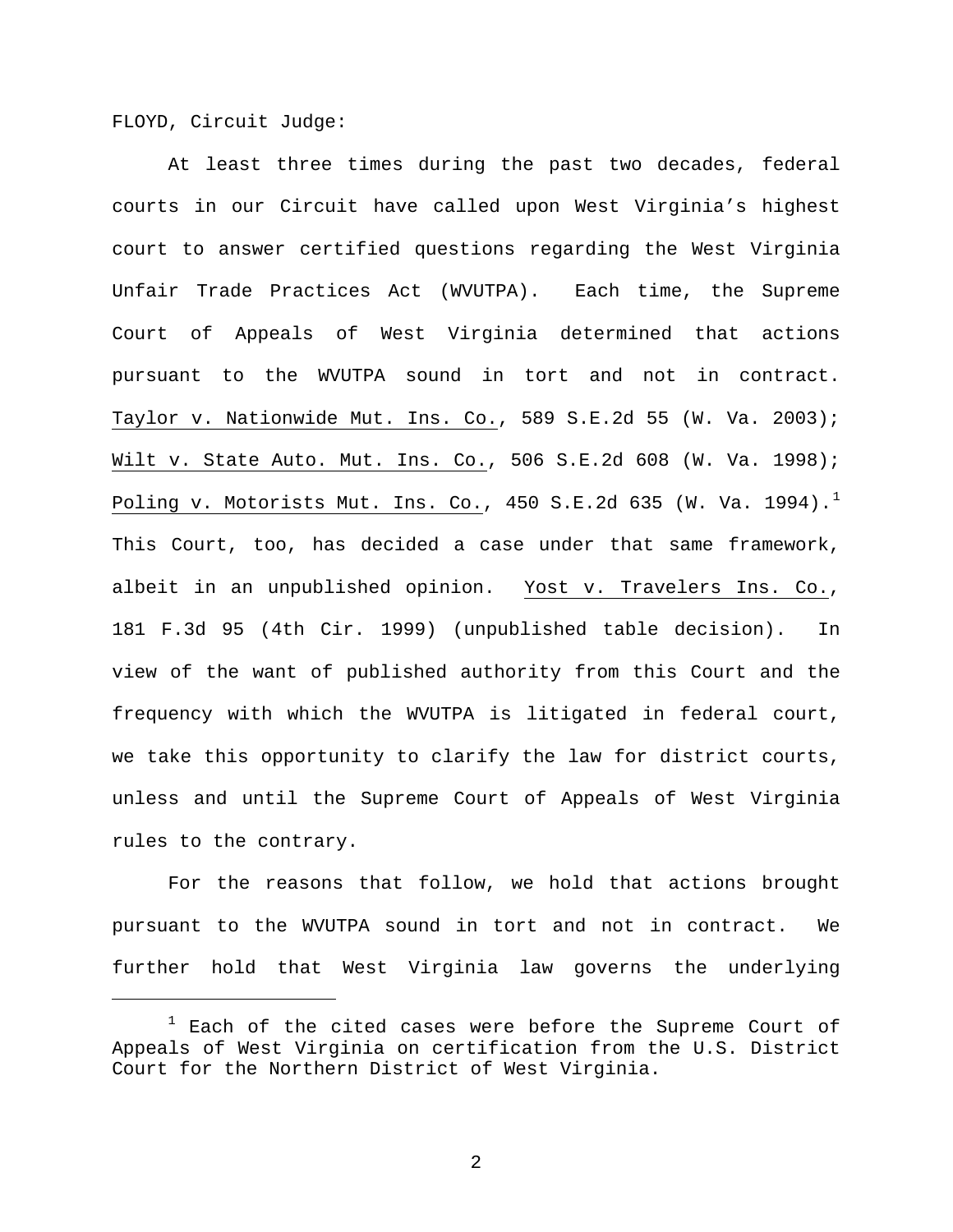FLOYD, Circuit Judge:

Ĩ

At least three times during the past two decades, federal courts in our Circuit have called upon West Virginia's highest court to answer certified questions regarding the West Virginia Unfair Trade Practices Act (WVUTPA). Each time, the Supreme Court of Appeals of West Virginia determined that actions pursuant to the WVUTPA sound in tort and not in contract. Taylor v. Nationwide Mut. Ins. Co., 589 S.E.2d 55 (W. Va. 2003); Wilt v. State Auto. Mut. Ins. Co., 506 S.E.2d 608 (W. Va. 1998); Poling v. Motorists Mut. Ins. Co., 450 S.E.2d 635 (W. Va. [1](#page-1-0)994).<sup>1</sup> This Court, too, has decided a case under that same framework, albeit in an unpublished opinion. Yost v. Travelers Ins. Co., 181 F.3d 95 (4th Cir. 1999) (unpublished table decision). In view of the want of published authority from this Court and the frequency with which the WVUTPA is litigated in federal court, we take this opportunity to clarify the law for district courts, unless and until the Supreme Court of Appeals of West Virginia rules to the contrary.

For the reasons that follow, we hold that actions brought pursuant to the WVUTPA sound in tort and not in contract. We further hold that West Virginia law governs the underlying

<span id="page-1-0"></span> $1$  Each of the cited cases were before the Supreme Court of Appeals of West Virginia on certification from the U.S. District Court for the Northern District of West Virginia.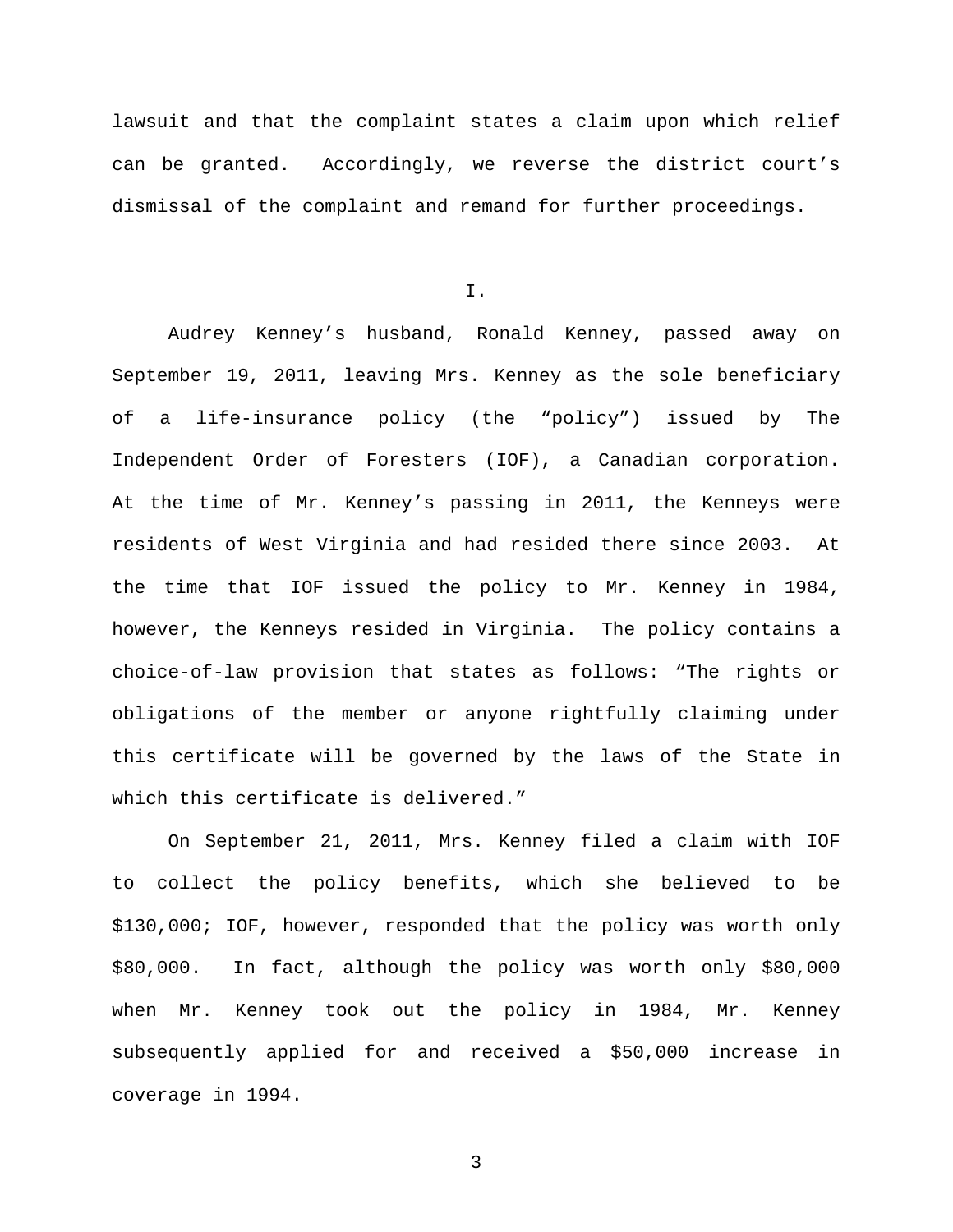lawsuit and that the complaint states a claim upon which relief can be granted. Accordingly, we reverse the district court's dismissal of the complaint and remand for further proceedings.

I.

Audrey Kenney's husband, Ronald Kenney, passed away on September 19, 2011, leaving Mrs. Kenney as the sole beneficiary of a life-insurance policy (the "policy") issued by The Independent Order of Foresters (IOF), a Canadian corporation. At the time of Mr. Kenney's passing in 2011, the Kenneys were residents of West Virginia and had resided there since 2003. At the time that IOF issued the policy to Mr. Kenney in 1984, however, the Kenneys resided in Virginia. The policy contains a choice-of-law provision that states as follows: "The rights or obligations of the member or anyone rightfully claiming under this certificate will be governed by the laws of the State in which this certificate is delivered."

On September 21, 2011, Mrs. Kenney filed a claim with IOF to collect the policy benefits, which she believed to be \$130,000; IOF, however, responded that the policy was worth only \$80,000. In fact, although the policy was worth only \$80,000 when Mr. Kenney took out the policy in 1984, Mr. Kenney subsequently applied for and received a \$50,000 increase in coverage in 1994.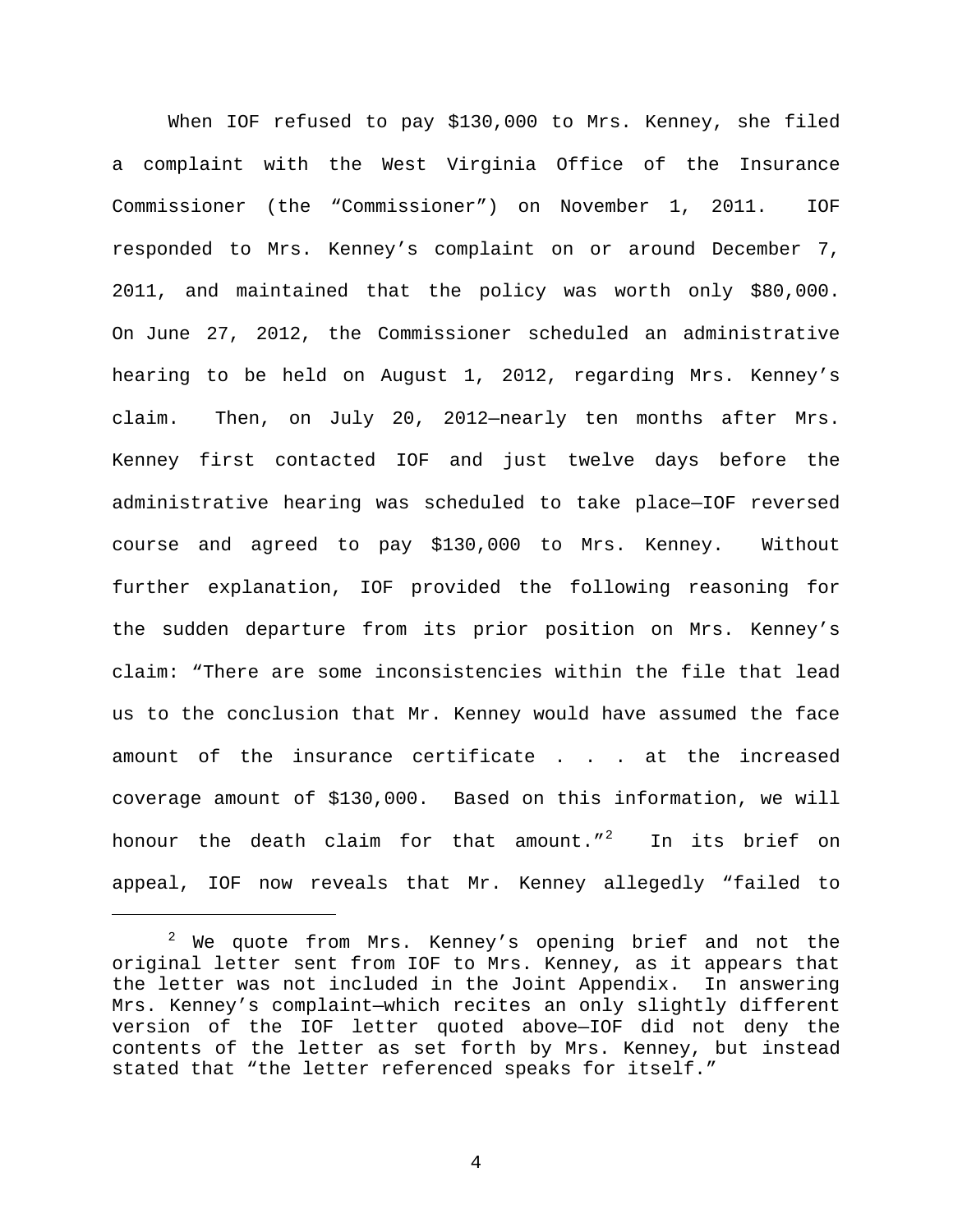When IOF refused to pay \$130,000 to Mrs. Kenney, she filed a complaint with the West Virginia Office of the Insurance Commissioner (the "Commissioner") on November 1, 2011. IOF responded to Mrs. Kenney's complaint on or around December 7, 2011, and maintained that the policy was worth only \$80,000. On June 27, 2012, the Commissioner scheduled an administrative hearing to be held on August 1, 2012, regarding Mrs. Kenney's claim. Then, on July 20, 2012—nearly ten months after Mrs. Kenney first contacted IOF and just twelve days before the administrative hearing was scheduled to take place—IOF reversed course and agreed to pay \$130,000 to Mrs. Kenney. Without further explanation, IOF provided the following reasoning for the sudden departure from its prior position on Mrs. Kenney's claim: "There are some inconsistencies within the file that lead us to the conclusion that Mr. Kenney would have assumed the face amount of the insurance certificate . . . at the increased coverage amount of \$130,000. Based on this information, we will honour the death claim for that amount."<sup>[2](#page-3-0)</sup> In its brief on appeal, IOF now reveals that Mr. Kenney allegedly "failed to

Ξ

<span id="page-3-0"></span> $2$  We quote from Mrs. Kenney's opening brief and not the original letter sent from IOF to Mrs. Kenney, as it appears that the letter was not included in the Joint Appendix. In answering Mrs. Kenney's complaint—which recites an only slightly different version of the IOF letter quoted above—IOF did not deny the contents of the letter as set forth by Mrs. Kenney, but instead stated that "the letter referenced speaks for itself."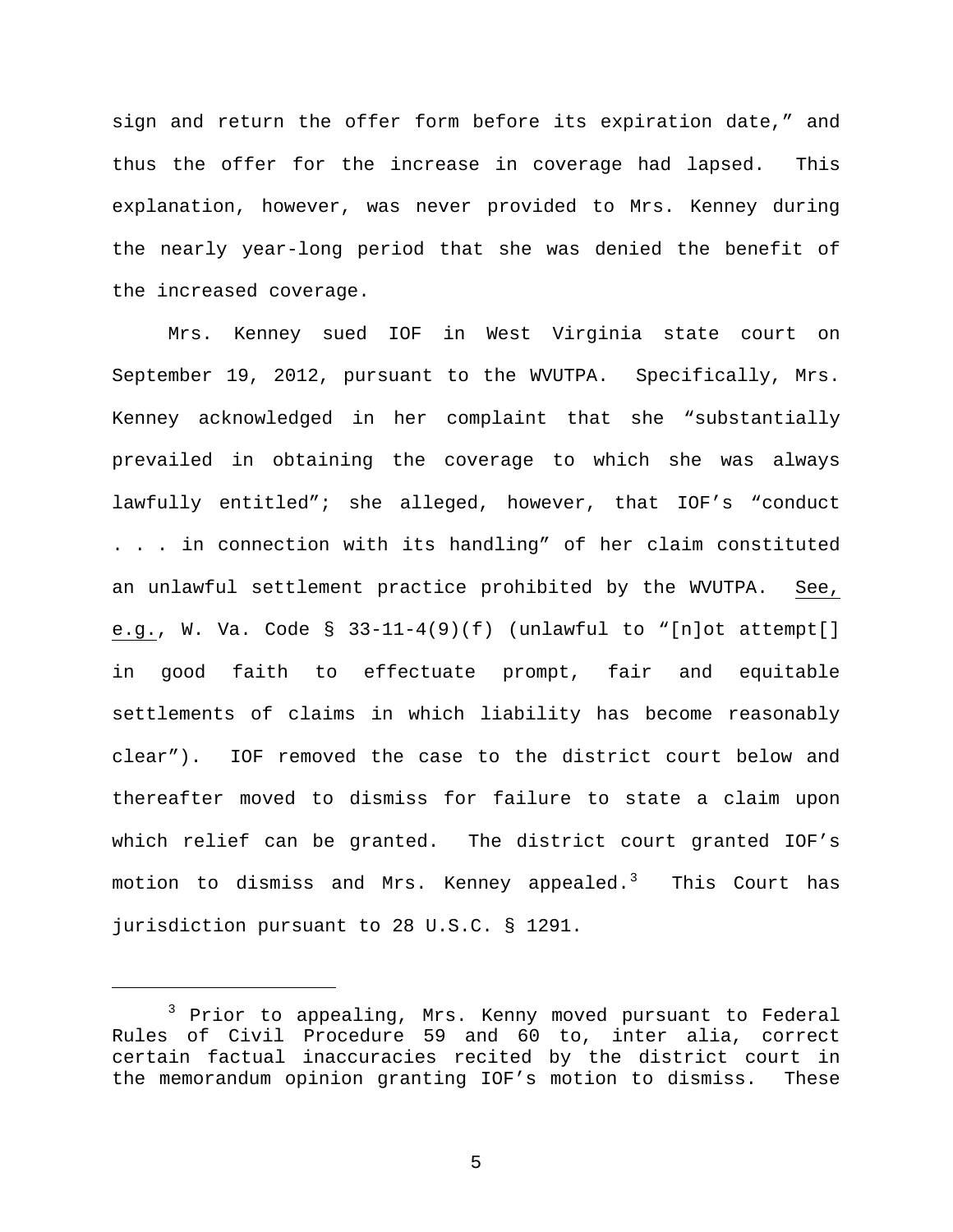sign and return the offer form before its expiration date," and thus the offer for the increase in coverage had lapsed. This explanation, however, was never provided to Mrs. Kenney during the nearly year-long period that she was denied the benefit of the increased coverage.

Mrs. Kenney sued IOF in West Virginia state court on September 19, 2012, pursuant to the WVUTPA. Specifically, Mrs. Kenney acknowledged in her complaint that she "substantially prevailed in obtaining the coverage to which she was always lawfully entitled"; she alleged, however, that IOF's "conduct . . . in connection with its handling" of her claim constituted an unlawful settlement practice prohibited by the WVUTPA. See, e.g., W. Va. Code  $\S$  33-11-4(9)(f) (unlawful to "[n]ot attempt[] in good faith to effectuate prompt, fair and equitable settlements of claims in which liability has become reasonably clear"). IOF removed the case to the district court below and thereafter moved to dismiss for failure to state a claim upon which relief can be granted. The district court granted IOF's motion to dismiss and Mrs. Kenney appealed. $^3$  $^3$  This Court has jurisdiction pursuant to 28 U.S.C. § 1291.

Ĩ

<span id="page-4-0"></span><sup>3</sup> Prior to appealing, Mrs. Kenny moved pursuant to Federal Rules of Civil Procedure 59 and 60 to, inter alia, correct certain factual inaccuracies recited by the district court in the memorandum opinion granting IOF's motion to dismiss. These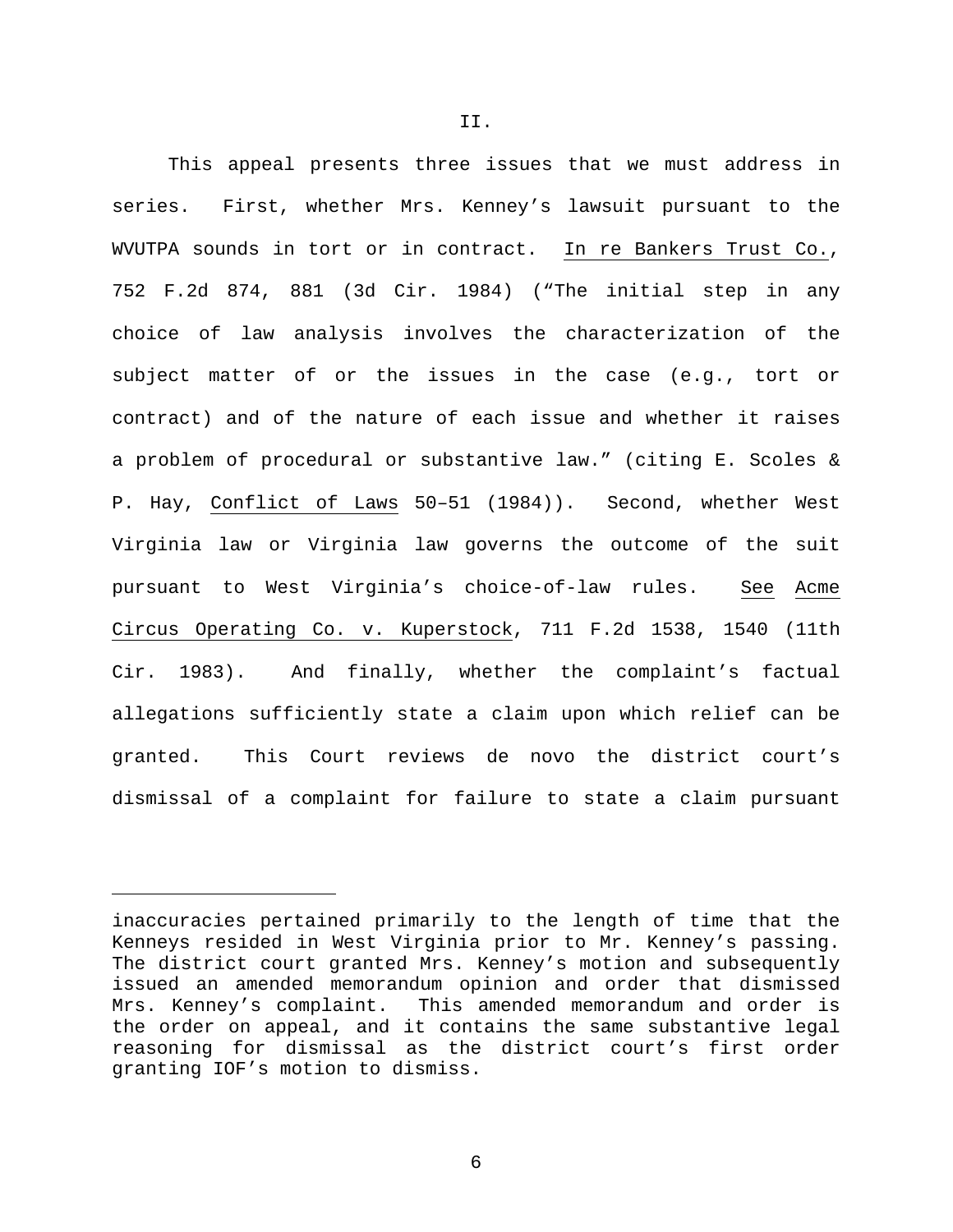This appeal presents three issues that we must address in series. First, whether Mrs. Kenney's lawsuit pursuant to the WVUTPA sounds in tort or in contract. In re Bankers Trust Co., 752 F.2d 874, 881 (3d Cir. 1984) ("The initial step in any choice of law analysis involves the characterization of the subject matter of or the issues in the case (e.g., tort or contract) and of the nature of each issue and whether it raises a problem of procedural or substantive law." (citing E. Scoles & P. Hay, Conflict of Laws 50–51 (1984)). Second, whether West Virginia law or Virginia law governs the outcome of the suit pursuant to West Virginia's choice-of-law rules. See Acme Circus Operating Co. v. Kuperstock, 711 F.2d 1538, 1540 (11th Cir. 1983). And finally, whether the complaint's factual allegations sufficiently state a claim upon which relief can be granted. This Court reviews de novo the district court's dismissal of a complaint for failure to state a claim pursuant

Ĩ

inaccuracies pertained primarily to the length of time that the Kenneys resided in West Virginia prior to Mr. Kenney's passing. The district court granted Mrs. Kenney's motion and subsequently issued an amended memorandum opinion and order that dismissed Mrs. Kenney's complaint. This amended memorandum and order is the order on appeal, and it contains the same substantive legal reasoning for dismissal as the district court's first order granting IOF's motion to dismiss.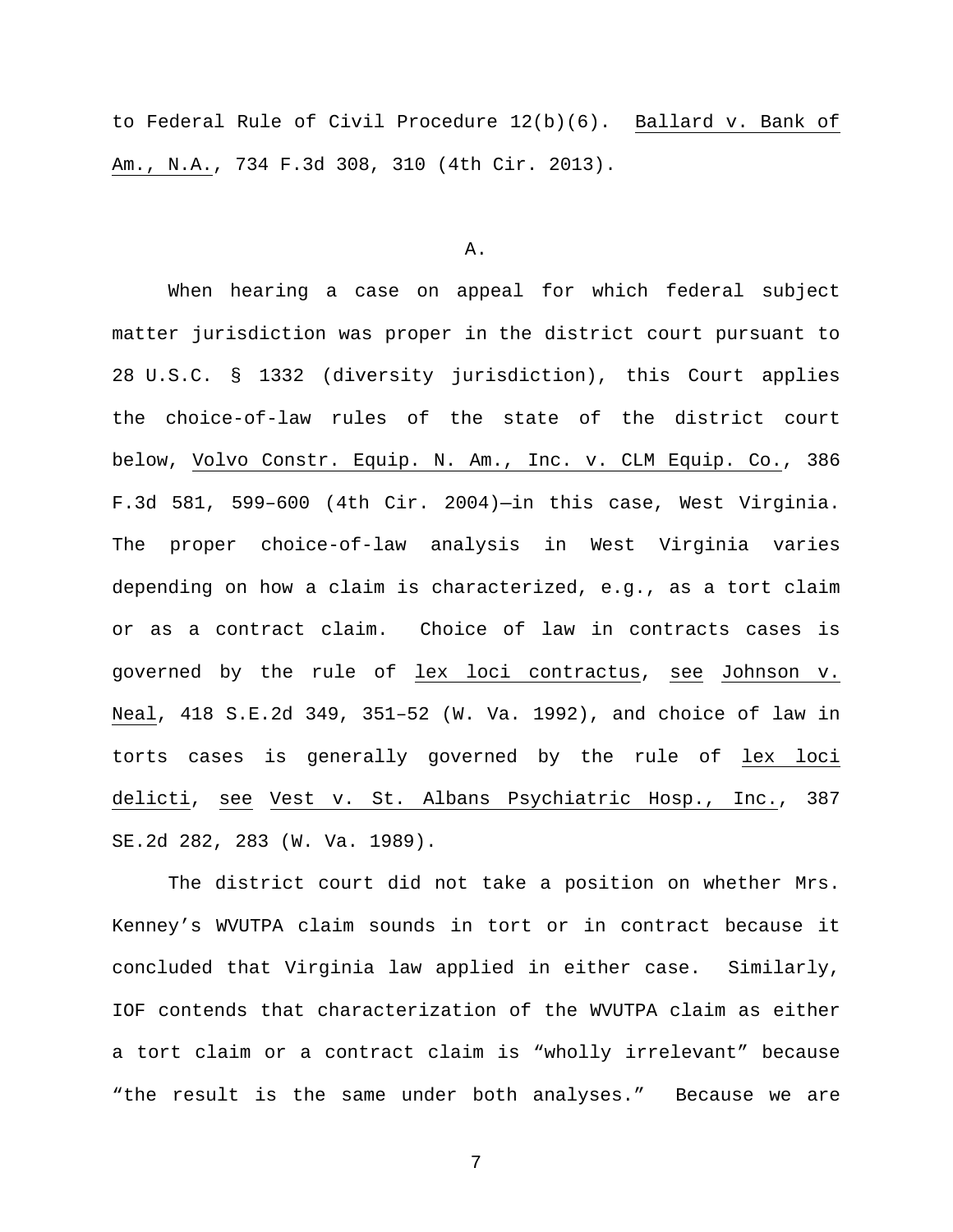to Federal Rule of Civil Procedure 12(b)(6). Ballard v. Bank of Am., N.A., 734 F.3d 308, 310 (4th Cir. 2013).

### A.

When hearing a case on appeal for which federal subject matter jurisdiction was proper in the district court pursuant to 28 U.S.C. § 1332 (diversity jurisdiction), this Court applies the choice-of-law rules of the state of the district court below, Volvo Constr. Equip. N. Am., Inc. v. CLM Equip. Co., 386 F.3d 581, 599–600 (4th Cir. 2004)—in this case, West Virginia. The proper choice-of-law analysis in West Virginia varies depending on how a claim is characterized, e.g., as a tort claim or as a contract claim. Choice of law in contracts cases is governed by the rule of lex loci contractus, see Johnson v. Neal, 418 S.E.2d 349, 351–52 (W. Va. 1992), and choice of law in torts cases is generally governed by the rule of lex loci delicti, see Vest v. St. Albans Psychiatric Hosp., Inc., 387 SE.2d 282, 283 (W. Va. 1989).

The district court did not take a position on whether Mrs. Kenney's WVUTPA claim sounds in tort or in contract because it concluded that Virginia law applied in either case. Similarly, IOF contends that characterization of the WVUTPA claim as either a tort claim or a contract claim is "wholly irrelevant" because "the result is the same under both analyses." Because we are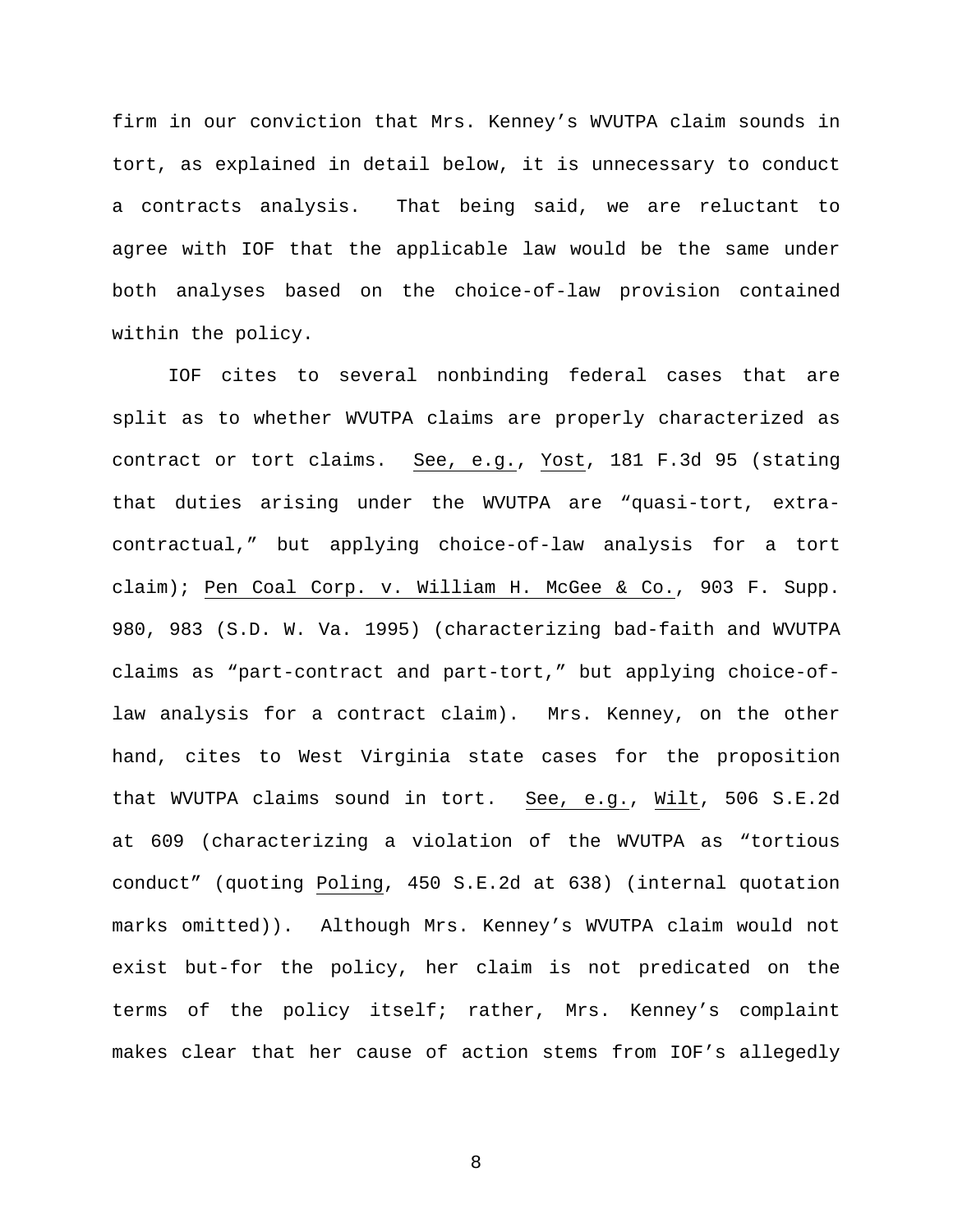firm in our conviction that Mrs. Kenney's WVUTPA claim sounds in tort, as explained in detail below, it is unnecessary to conduct a contracts analysis. That being said, we are reluctant to agree with IOF that the applicable law would be the same under both analyses based on the choice-of-law provision contained within the policy.

IOF cites to several nonbinding federal cases that are split as to whether WVUTPA claims are properly characterized as contract or tort claims. See, e.g., Yost, 181 F.3d 95 (stating that duties arising under the WVUTPA are "quasi-tort, extracontractual," but applying choice-of-law analysis for a tort claim); Pen Coal Corp. v. William H. McGee & Co., 903 F. Supp. 980, 983 (S.D. W. Va. 1995) (characterizing bad-faith and WVUTPA claims as "part-contract and part-tort," but applying choice-oflaw analysis for a contract claim). Mrs. Kenney, on the other hand, cites to West Virginia state cases for the proposition that WVUTPA claims sound in tort. See, e.g., Wilt, 506 S.E.2d at 609 (characterizing a violation of the WVUTPA as "tortious conduct" (quoting Poling, 450 S.E.2d at 638) (internal quotation marks omitted)). Although Mrs. Kenney's WVUTPA claim would not exist but-for the policy, her claim is not predicated on the terms of the policy itself; rather, Mrs. Kenney's complaint makes clear that her cause of action stems from IOF's allegedly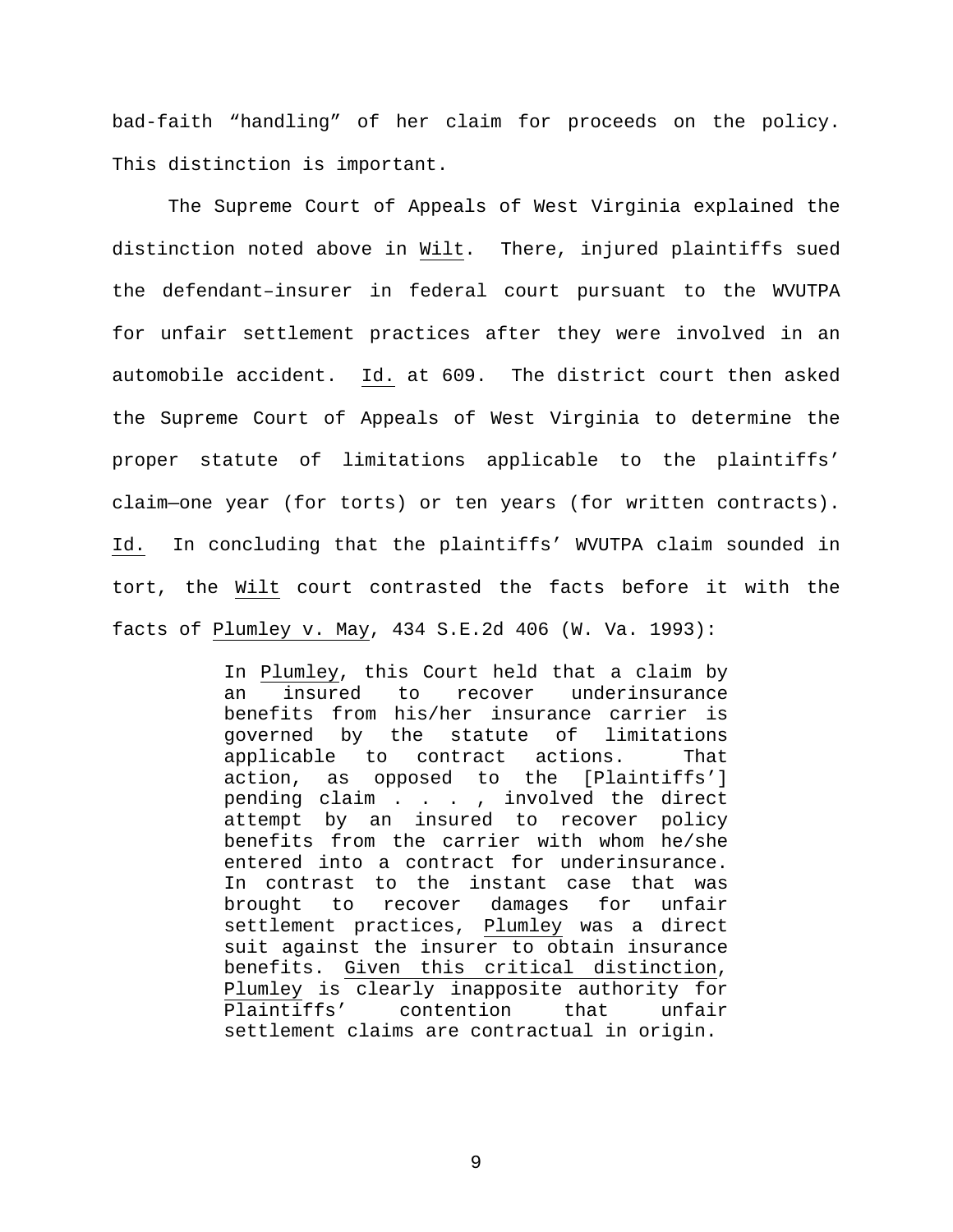bad-faith "handling" of her claim for proceeds on the policy. This distinction is important.

The Supreme Court of Appeals of West Virginia explained the distinction noted above in Wilt. There, injured plaintiffs sued the defendant–insurer in federal court pursuant to the WVUTPA for unfair settlement practices after they were involved in an automobile accident. Id. at 609. The district court then asked the Supreme Court of Appeals of West Virginia to determine the proper statute of limitations applicable to the plaintiffs' claim—one year (for torts) or ten years (for written contracts). Id. In concluding that the plaintiffs' WVUTPA claim sounded in tort, the Wilt court contrasted the facts before it with the facts of Plumley v. May, 434 S.E.2d 406 (W. Va. 1993):

> In <u>Plumley</u>, this Court held that a claim by<br>an insured to recover underinsurance an insured to recover underinsurance benefits from his/her insurance carrier is governed by the statute of limitations applicable to contract actions. That action, as opposed to the [Plaintiffs'] pending claim . . . , involved the direct attempt by an insured to recover policy benefits from the carrier with whom he/she entered into a contract for underinsurance. In contrast to the instant case that was brought to recover damages for unfair settlement practices, Plumley was a direct suit against the insurer to obtain insurance benefits. Given this critical distinction, Plumley is clearly inapposite authority for<br>Plaintiffs' contention that unfair Plaintiffs' settlement claims are contractual in origin.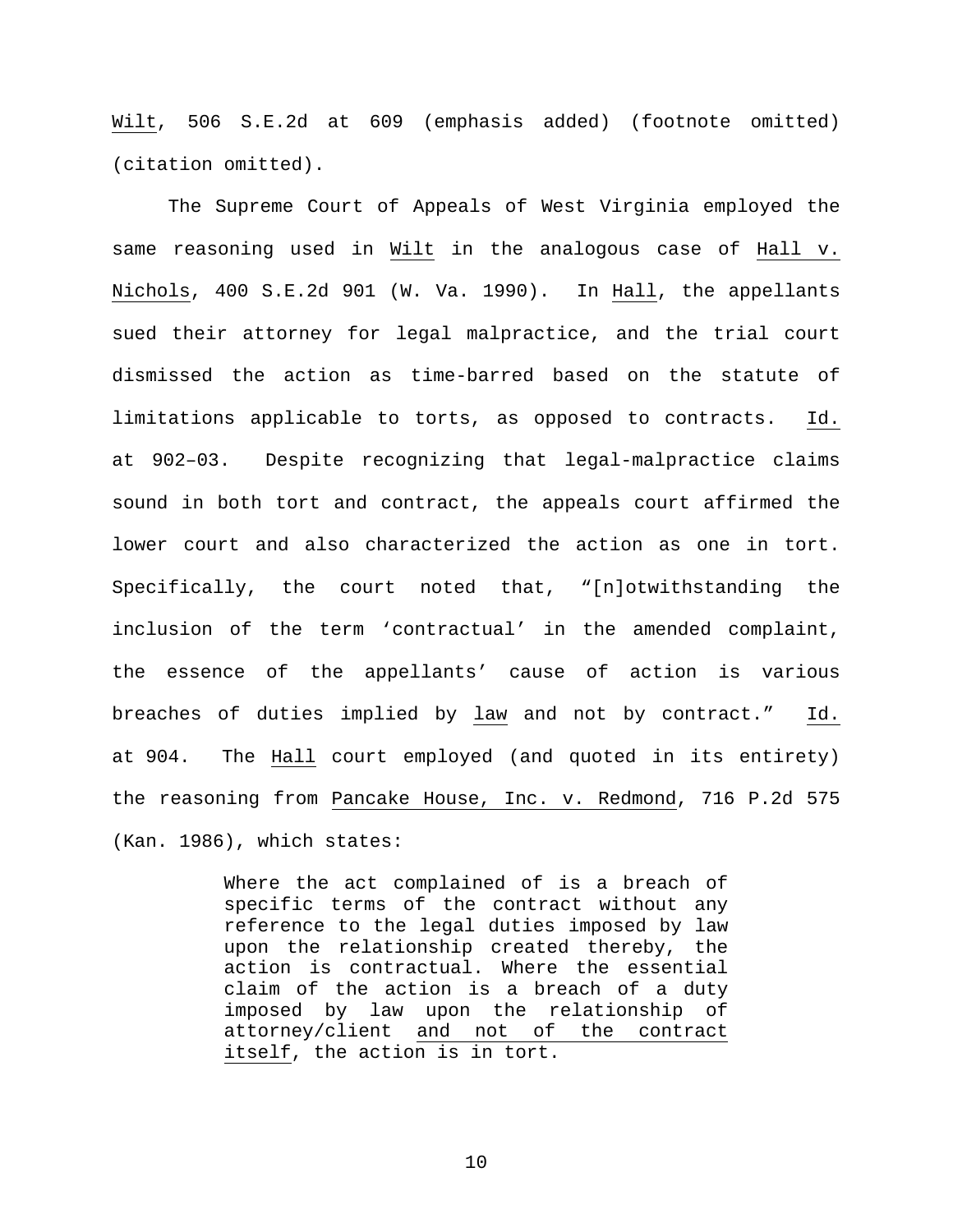Wilt, 506 S.E.2d at 609 (emphasis added) (footnote omitted) (citation omitted).

The Supreme Court of Appeals of West Virginia employed the same reasoning used in Wilt in the analogous case of Hall v. Nichols, 400 S.E.2d 901 (W. Va. 1990). In Hall, the appellants sued their attorney for legal malpractice, and the trial court dismissed the action as time-barred based on the statute of limitations applicable to torts, as opposed to contracts. Id. at 902–03. Despite recognizing that legal-malpractice claims sound in both tort and contract, the appeals court affirmed the lower court and also characterized the action as one in tort. Specifically, the court noted that, "[n]otwithstanding the inclusion of the term 'contractual' in the amended complaint, the essence of the appellants' cause of action is various breaches of duties implied by law and not by contract." Id. at 904. The Hall court employed (and quoted in its entirety) the reasoning from Pancake House, Inc. v. Redmond, 716 P.2d 575 (Kan. 1986), which states:

> Where the act complained of is a breach of specific terms of the contract without any reference to the legal duties imposed by law upon the relationship created thereby, the action is contractual. Where the essential claim of the action is a breach of a duty imposed by law upon the relationship of attorney/client and not of the contract itself, the action is in tort.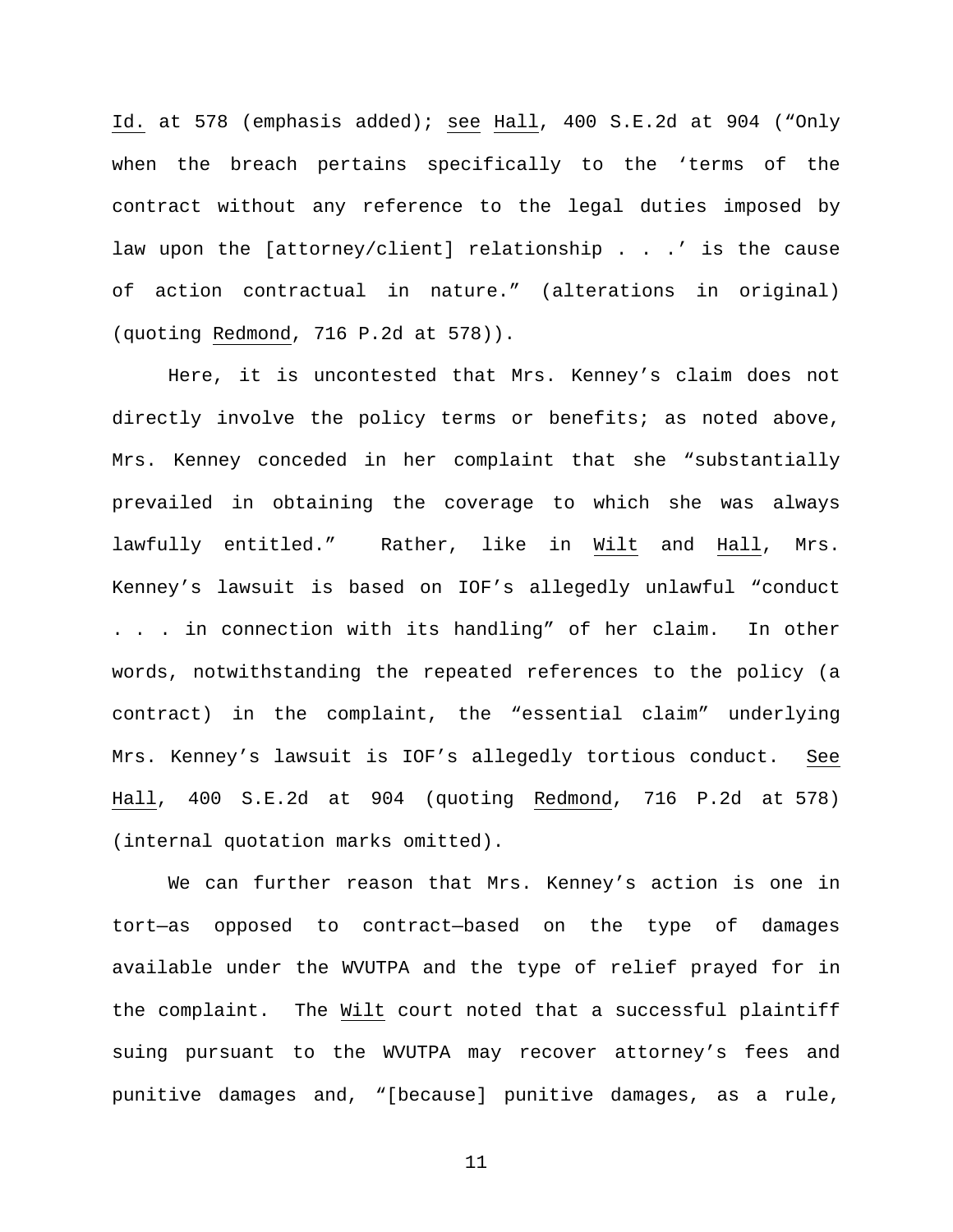Id. at 578 (emphasis added); see Hall, 400 S.E.2d at 904 ("Only when the breach pertains specifically to the 'terms of the contract without any reference to the legal duties imposed by law upon the [attorney/client] relationship . . .' is the cause of action contractual in nature." (alterations in original) (quoting Redmond, 716 P.2d at 578)).

Here, it is uncontested that Mrs. Kenney's claim does not directly involve the policy terms or benefits; as noted above, Mrs. Kenney conceded in her complaint that she "substantially prevailed in obtaining the coverage to which she was always lawfully entitled." Rather, like in Wilt and Hall, Mrs. Kenney's lawsuit is based on IOF's allegedly unlawful "conduct . . . in connection with its handling" of her claim. In other words, notwithstanding the repeated references to the policy (a contract) in the complaint, the "essential claim" underlying Mrs. Kenney's lawsuit is IOF's allegedly tortious conduct. See Hall, 400 S.E.2d at 904 (quoting Redmond, 716 P.2d at 578) (internal quotation marks omitted).

We can further reason that Mrs. Kenney's action is one in tort—as opposed to contract—based on the type of damages available under the WVUTPA and the type of relief prayed for in the complaint. The Wilt court noted that a successful plaintiff suing pursuant to the WVUTPA may recover attorney's fees and punitive damages and, "[because] punitive damages, as a rule,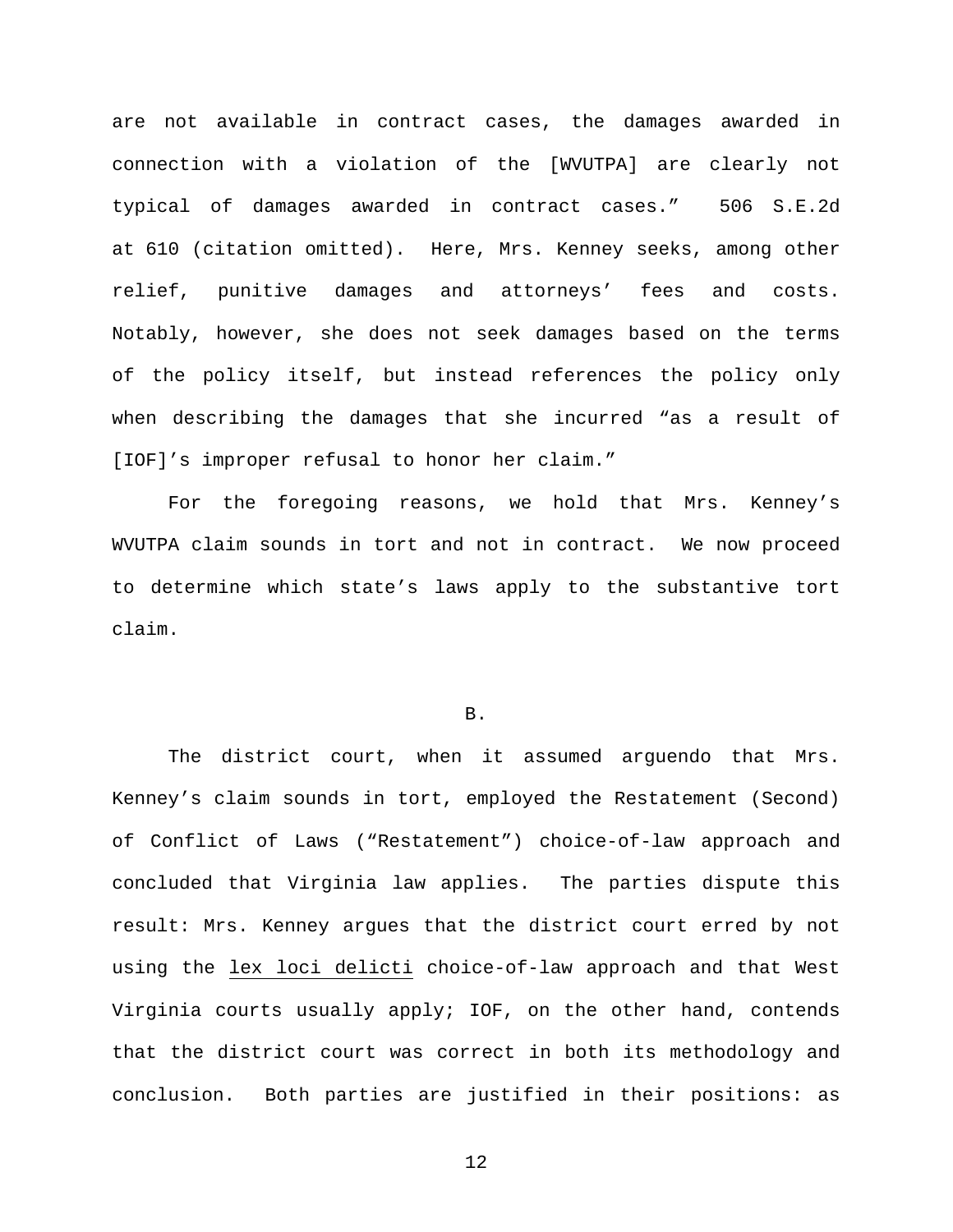are not available in contract cases, the damages awarded in connection with a violation of the [WVUTPA] are clearly not typical of damages awarded in contract cases." 506 S.E.2d at 610 (citation omitted). Here, Mrs. Kenney seeks, among other relief, punitive damages and attorneys' fees and costs. Notably, however, she does not seek damages based on the terms of the policy itself, but instead references the policy only when describing the damages that she incurred "as a result of [IOF]'s improper refusal to honor her claim."

For the foregoing reasons, we hold that Mrs. Kenney's WVUTPA claim sounds in tort and not in contract. We now proceed to determine which state's laws apply to the substantive tort claim.

#### B.

The district court, when it assumed arguendo that Mrs. Kenney's claim sounds in tort, employed the Restatement (Second) of Conflict of Laws ("Restatement") choice-of-law approach and concluded that Virginia law applies. The parties dispute this result: Mrs. Kenney argues that the district court erred by not using the lex loci delicti choice-of-law approach and that West Virginia courts usually apply; IOF, on the other hand, contends that the district court was correct in both its methodology and conclusion. Both parties are justified in their positions: as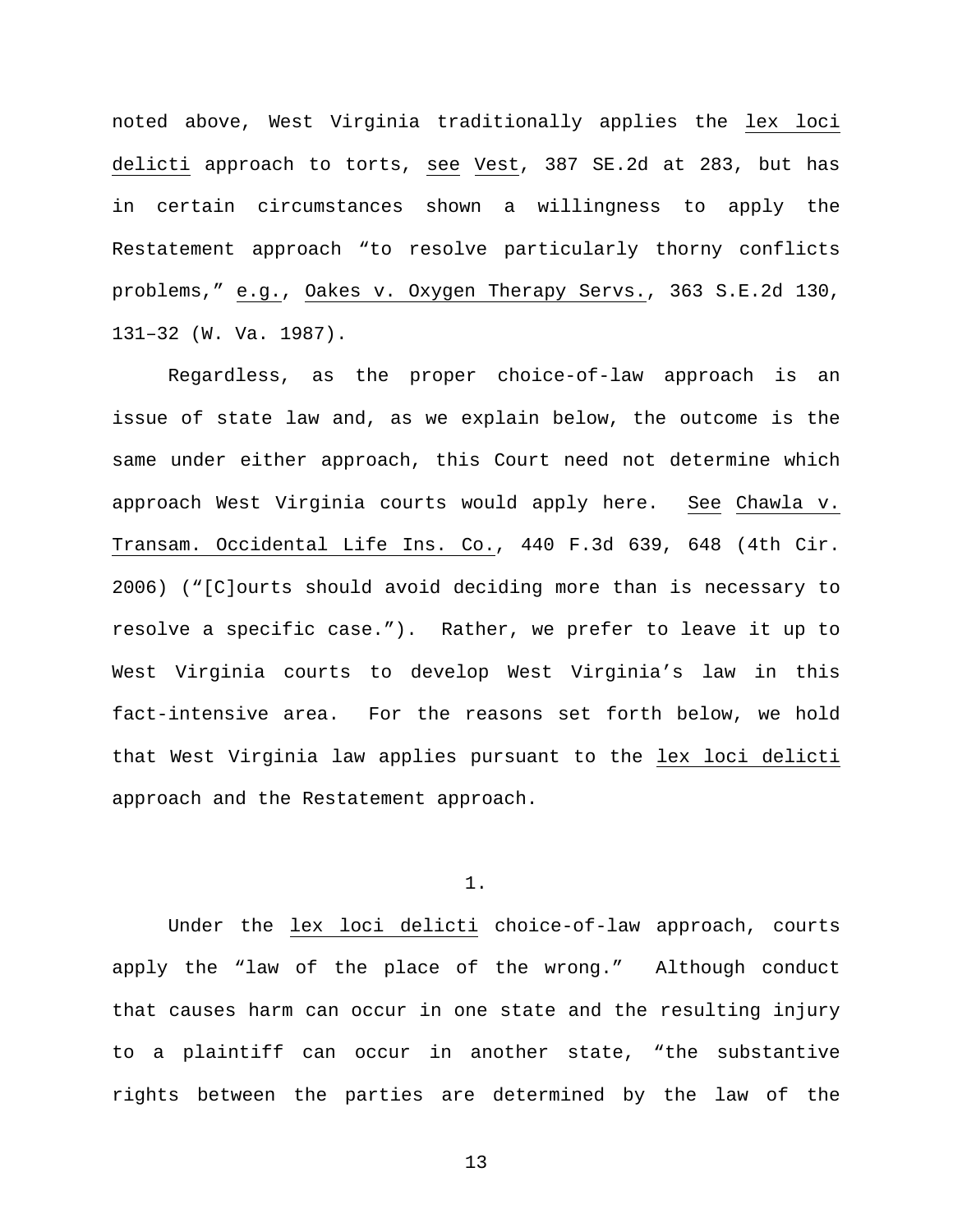noted above, West Virginia traditionally applies the lex loci delicti approach to torts, see Vest, 387 SE.2d at 283, but has in certain circumstances shown a willingness to apply the Restatement approach "to resolve particularly thorny conflicts problems," e.g., Oakes v. Oxygen Therapy Servs., 363 S.E.2d 130, 131–32 (W. Va. 1987).

Regardless, as the proper choice-of-law approach is an issue of state law and, as we explain below, the outcome is the same under either approach, this Court need not determine which approach West Virginia courts would apply here. See Chawla v. Transam. Occidental Life Ins. Co., 440 F.3d 639, 648 (4th Cir. 2006) ("[C]ourts should avoid deciding more than is necessary to resolve a specific case."). Rather, we prefer to leave it up to West Virginia courts to develop West Virginia's law in this fact-intensive area. For the reasons set forth below, we hold that West Virginia law applies pursuant to the lex loci delicti approach and the Restatement approach.

### 1.

Under the lex loci delicti choice-of-law approach, courts apply the "law of the place of the wrong." Although conduct that causes harm can occur in one state and the resulting injury to a plaintiff can occur in another state, "the substantive rights between the parties are determined by the law of the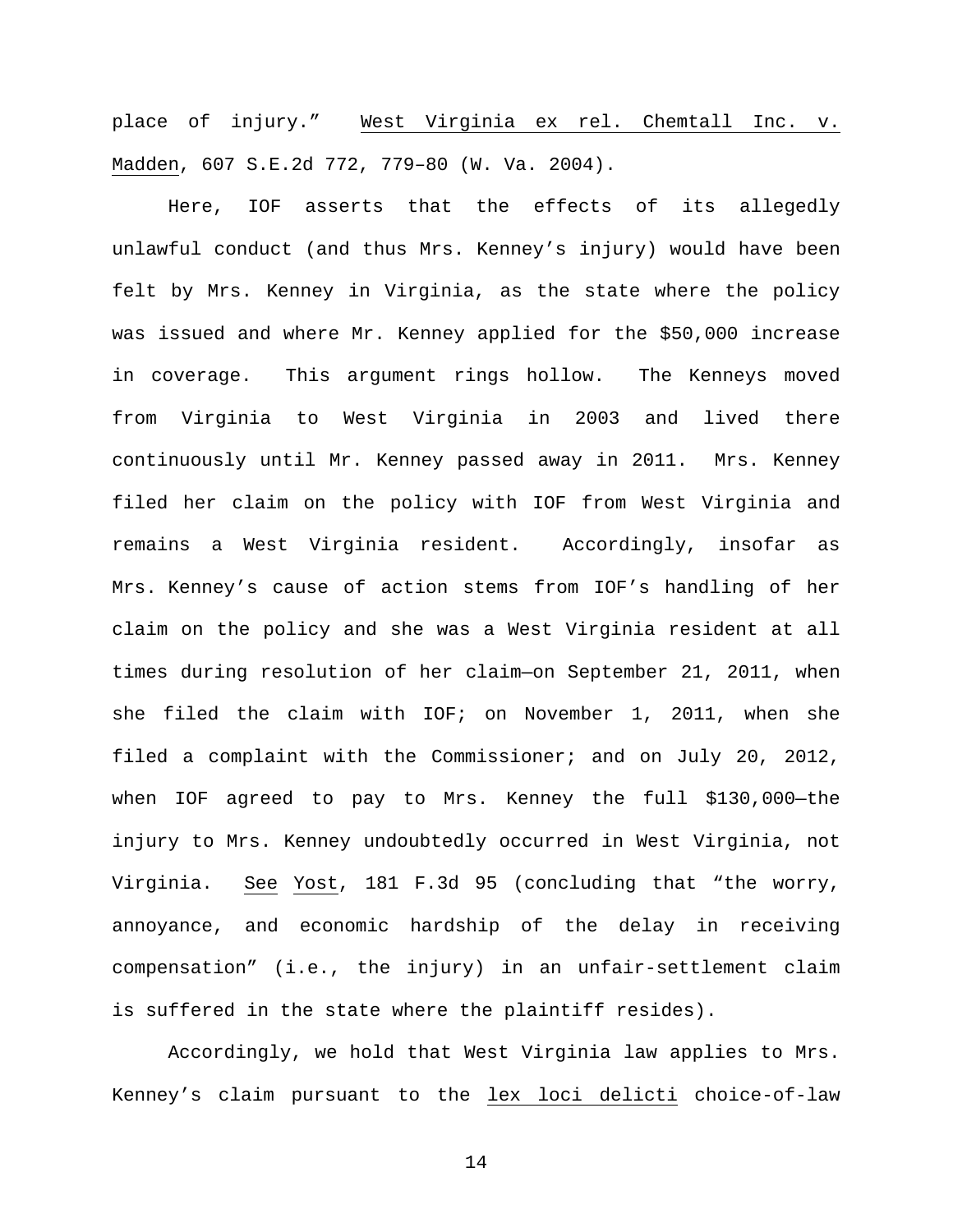place of injury." West Virginia ex rel. Chemtall Inc. v. Madden, 607 S.E.2d 772, 779–80 (W. Va. 2004).

Here, IOF asserts that the effects of its allegedly unlawful conduct (and thus Mrs. Kenney's injury) would have been felt by Mrs. Kenney in Virginia, as the state where the policy was issued and where Mr. Kenney applied for the \$50,000 increase in coverage. This argument rings hollow. The Kenneys moved from Virginia to West Virginia in 2003 and lived there continuously until Mr. Kenney passed away in 2011. Mrs. Kenney filed her claim on the policy with IOF from West Virginia and remains a West Virginia resident. Accordingly, insofar as Mrs. Kenney's cause of action stems from IOF's handling of her claim on the policy and she was a West Virginia resident at all times during resolution of her claim—on September 21, 2011, when she filed the claim with IOF; on November 1, 2011, when she filed a complaint with the Commissioner; and on July 20, 2012, when IOF agreed to pay to Mrs. Kenney the full \$130,000—the injury to Mrs. Kenney undoubtedly occurred in West Virginia, not Virginia. See Yost, 181 F.3d 95 (concluding that "the worry, annoyance, and economic hardship of the delay in receiving compensation" (i.e., the injury) in an unfair-settlement claim is suffered in the state where the plaintiff resides).

Accordingly, we hold that West Virginia law applies to Mrs. Kenney's claim pursuant to the lex loci delicti choice-of-law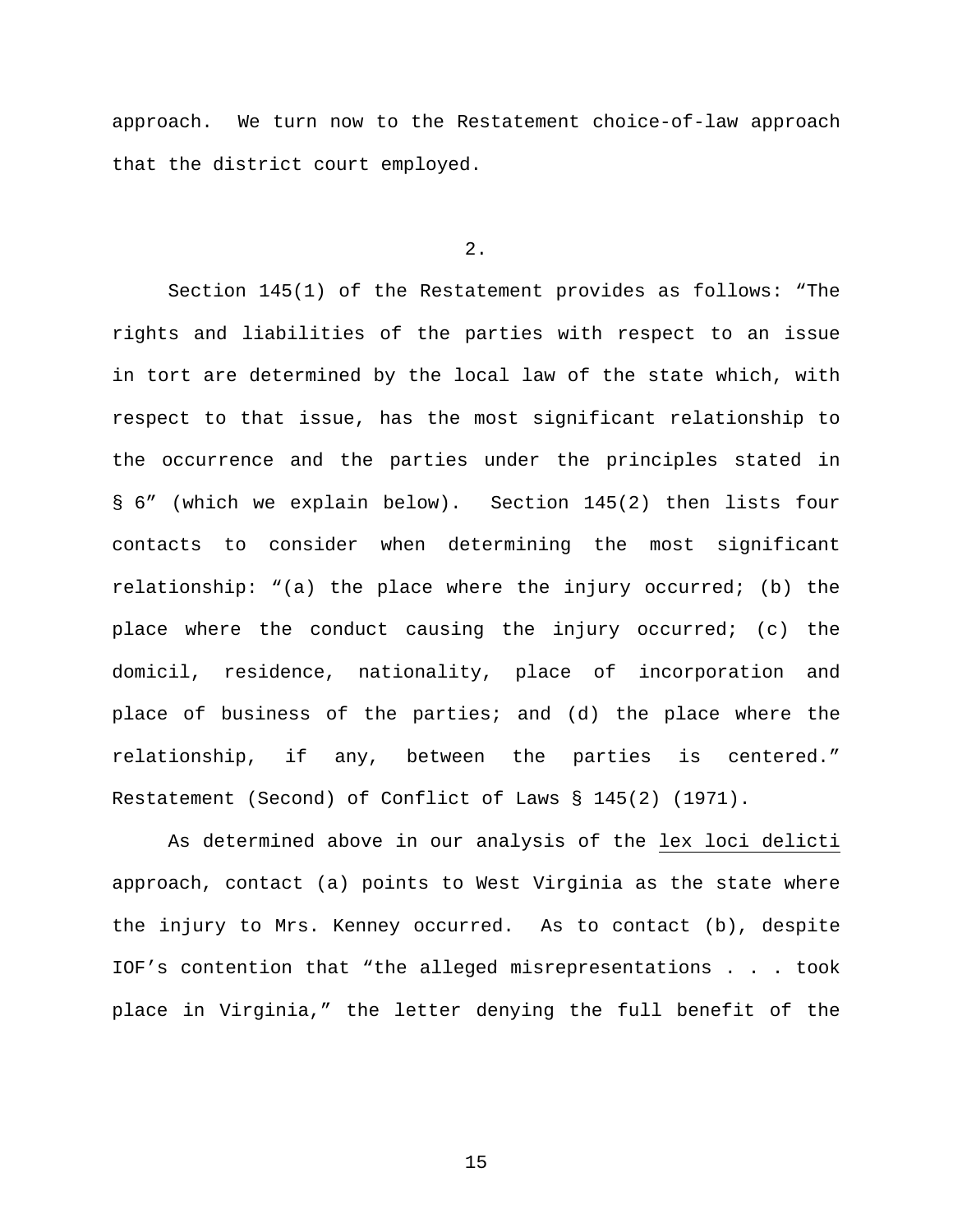approach. We turn now to the Restatement choice-of-law approach that the district court employed.

2.

Section 145(1) of the Restatement provides as follows: "The rights and liabilities of the parties with respect to an issue in tort are determined by the local law of the state which, with respect to that issue, has the most significant relationship to the occurrence and the parties under the principles stated in § 6" (which we explain below). Section 145(2) then lists four contacts to consider when determining the most significant relationship: "(a) the place where the injury occurred; (b) the place where the conduct causing the injury occurred; (c) the domicil, residence, nationality, place of incorporation and place of business of the parties; and (d) the place where the relationship, if any, between the parties is centered." Restatement (Second) of Conflict of Laws § 145(2) (1971).

As determined above in our analysis of the lex loci delicti approach, contact (a) points to West Virginia as the state where the injury to Mrs. Kenney occurred. As to contact (b), despite IOF's contention that "the alleged misrepresentations . . . took place in Virginia," the letter denying the full benefit of the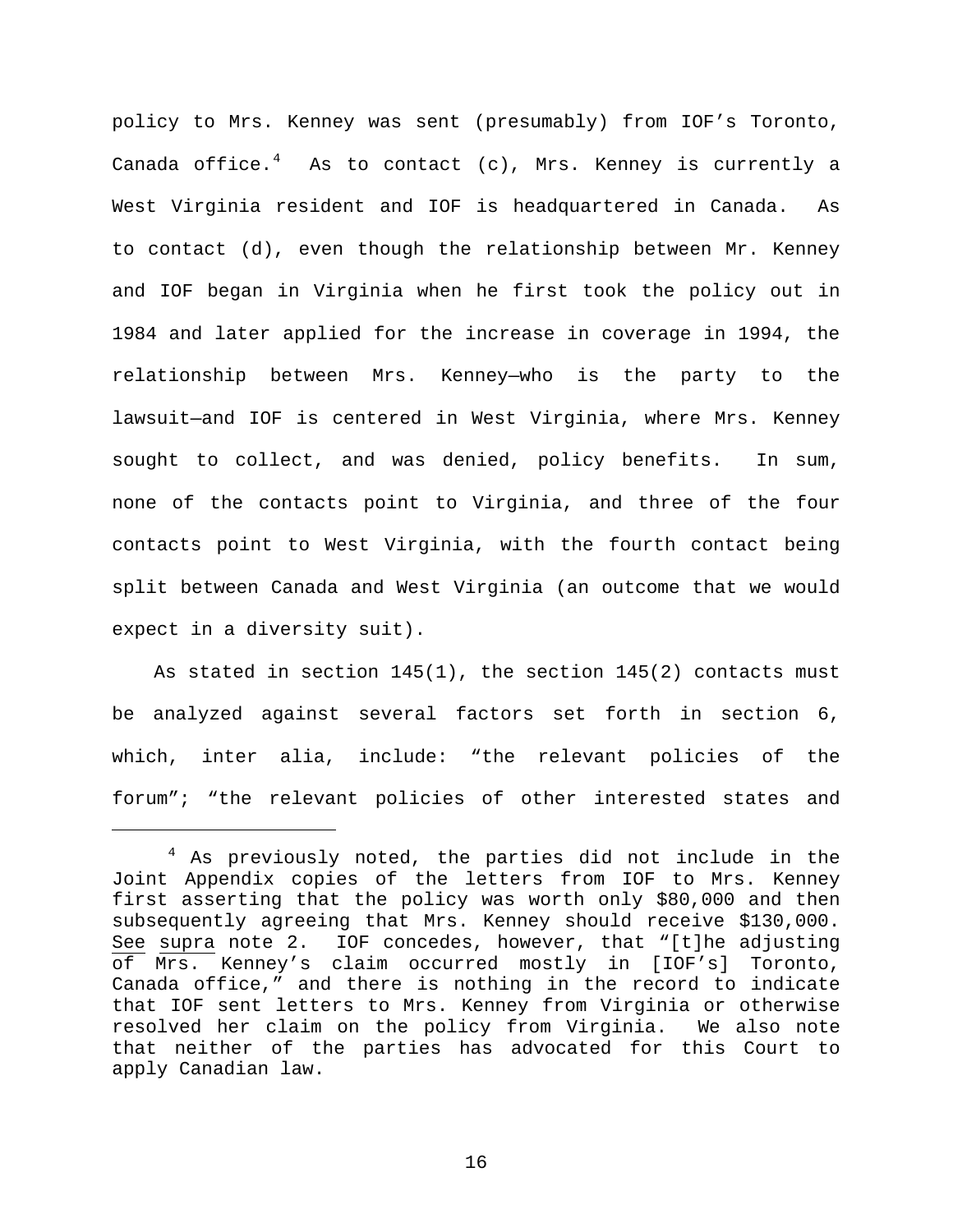policy to Mrs. Kenney was sent (presumably) from IOF's Toronto, Canada office. $4$  As to contact (c), Mrs. Kenney is currently a West Virginia resident and IOF is headquartered in Canada. As to contact (d), even though the relationship between Mr. Kenney and IOF began in Virginia when he first took the policy out in 1984 and later applied for the increase in coverage in 1994, the relationship between Mrs. Kenney—who is the party to the lawsuit—and IOF is centered in West Virginia, where Mrs. Kenney sought to collect, and was denied, policy benefits. In sum, none of the contacts point to Virginia, and three of the four contacts point to West Virginia, with the fourth contact being split between Canada and West Virginia (an outcome that we would expect in a diversity suit).

As stated in section 145(1), the section 145(2) contacts must be analyzed against several factors set forth in section 6, which, inter alia, include: "the relevant policies of the forum"; "the relevant policies of other interested states and

Ξ

<span id="page-15-0"></span><sup>&</sup>lt;sup>4</sup> As previously noted, the parties did not include in the Joint Appendix copies of the letters from IOF to Mrs. Kenney first asserting that the policy was worth only \$80,000 and then subsequently agreeing that Mrs. Kenney should receive \$130,000. See supra note 2. IOF concedes, however, that "[t]he adjusting of Mrs. Kenney's claim occurred mostly in [IOF's] Toronto, Canada office," and there is nothing in the record to indicate that IOF sent letters to Mrs. Kenney from Virginia or otherwise resolved her claim on the policy from Virginia. We also note that neither of the parties has advocated for this Court to apply Canadian law.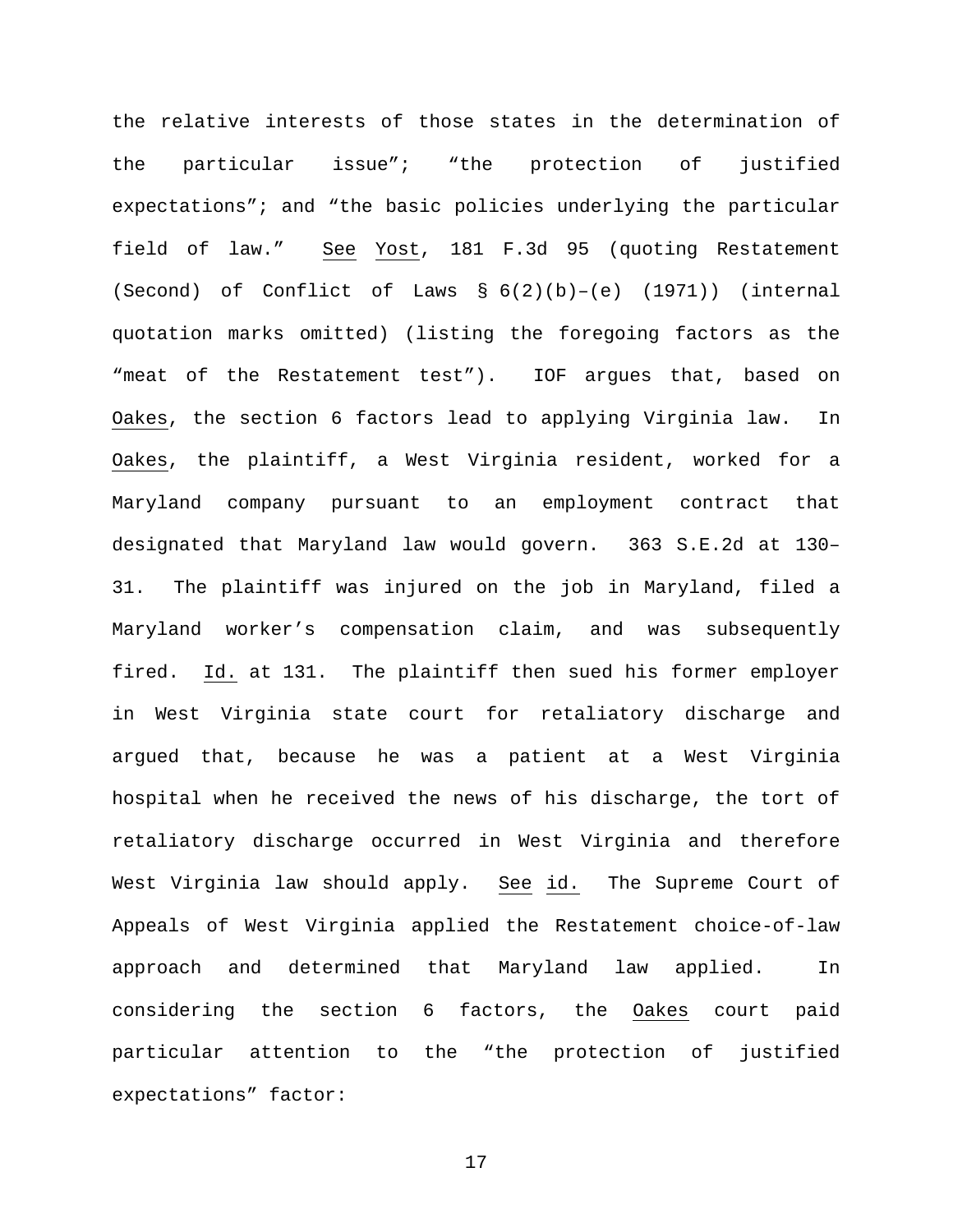the relative interests of those states in the determination of the particular issue"; "the protection of justified expectations"; and "the basic policies underlying the particular field of law." See Yost, 181 F.3d 95 (quoting Restatement (Second) of Conflict of Laws  $\S(6(2)(b)-(e)$  (1971)) (internal quotation marks omitted) (listing the foregoing factors as the "meat of the Restatement test"). IOF argues that, based on Oakes, the section 6 factors lead to applying Virginia law. In Oakes, the plaintiff, a West Virginia resident, worked for a Maryland company pursuant to an employment contract that designated that Maryland law would govern. 363 S.E.2d at 130– 31. The plaintiff was injured on the job in Maryland, filed a Maryland worker's compensation claim, and was subsequently fired. Id. at 131. The plaintiff then sued his former employer in West Virginia state court for retaliatory discharge and argued that, because he was a patient at a West Virginia hospital when he received the news of his discharge, the tort of retaliatory discharge occurred in West Virginia and therefore West Virginia law should apply. See id. The Supreme Court of Appeals of West Virginia applied the Restatement choice-of-law approach and determined that Maryland law applied. In considering the section 6 factors, the Oakes court paid particular attention to the "the protection of justified expectations" factor: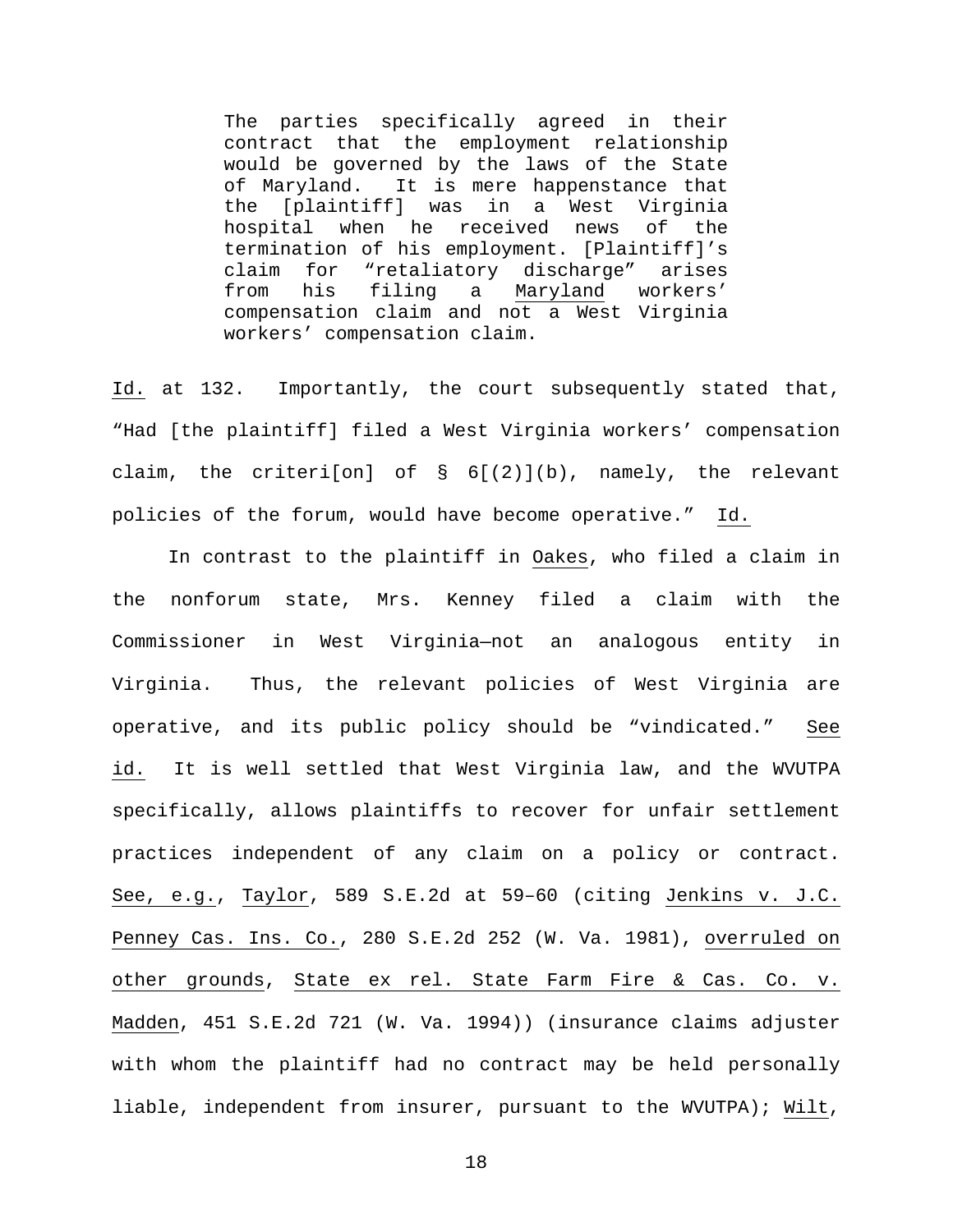The parties specifically agreed in their contract that the employment relationship would be governed by the laws of the State of Maryland. It is mere happenstance that the [plaintiff] was in a West Virginia hospital when he received news of the termination of his employment. [Plaintiff]'s claim for "retaliatory discharge" arises from his filing a Maryland workers' compensation claim and not a West Virginia workers' compensation claim.

Id. at 132. Importantly, the court subsequently stated that, "Had [the plaintiff] filed a West Virginia workers' compensation claim, the criteri[on] of § 6[(2)](b), namely, the relevant policies of the forum, would have become operative." Id.

In contrast to the plaintiff in Oakes, who filed a claim in the nonforum state, Mrs. Kenney filed a claim with the Commissioner in West Virginia—not an analogous entity in Virginia. Thus, the relevant policies of West Virginia are operative, and its public policy should be "vindicated." See id. It is well settled that West Virginia law, and the WVUTPA specifically, allows plaintiffs to recover for unfair settlement practices independent of any claim on a policy or contract. See, e.g., Taylor, 589 S.E.2d at 59–60 (citing Jenkins v. J.C. Penney Cas. Ins. Co., 280 S.E.2d 252 (W. Va. 1981), overruled on other grounds, State ex rel. State Farm Fire & Cas. Co. v. Madden, 451 S.E.2d 721 (W. Va. 1994)) (insurance claims adjuster with whom the plaintiff had no contract may be held personally liable, independent from insurer, pursuant to the WVUTPA); Wilt,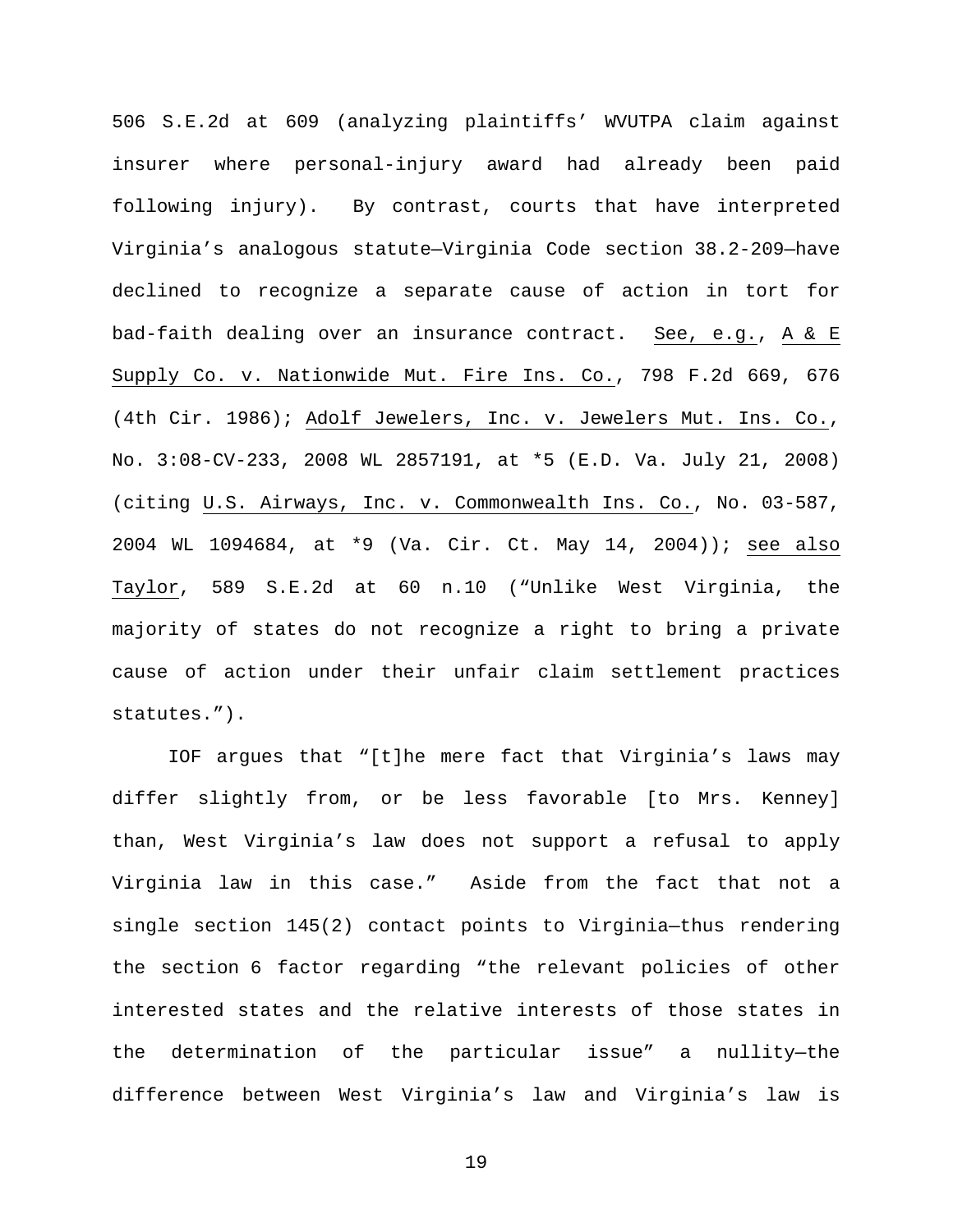506 S.E.2d at 609 (analyzing plaintiffs' WVUTPA claim against insurer where personal-injury award had already been paid following injury). By contrast, courts that have interpreted Virginia's analogous statute—Virginia Code section 38.2-209—have declined to recognize a separate cause of action in tort for bad-faith dealing over an insurance contract. See, e.g., A & E Supply Co. v. Nationwide Mut. Fire Ins. Co., 798 F.2d 669, 676 (4th Cir. 1986); Adolf Jewelers, Inc. v. Jewelers Mut. Ins. Co., No. 3:08-CV-233, 2008 WL 2857191, at \*5 (E.D. Va. July 21, 2008) (citing U.S. Airways, Inc. v. Commonwealth Ins. Co., No. 03-587, 2004 WL 1094684, at \*9 (Va. Cir. Ct. May 14, 2004)); see also Taylor, 589 S.E.2d at 60 n.10 ("Unlike West Virginia, the majority of states do not recognize a right to bring a private cause of action under their unfair claim settlement practices statutes.").

IOF argues that "[t]he mere fact that Virginia's laws may differ slightly from, or be less favorable [to Mrs. Kenney] than, West Virginia's law does not support a refusal to apply Virginia law in this case." Aside from the fact that not a single section 145(2) contact points to Virginia—thus rendering the section 6 factor regarding "the relevant policies of other interested states and the relative interests of those states in the determination of the particular issue" a nullity—the difference between West Virginia's law and Virginia's law is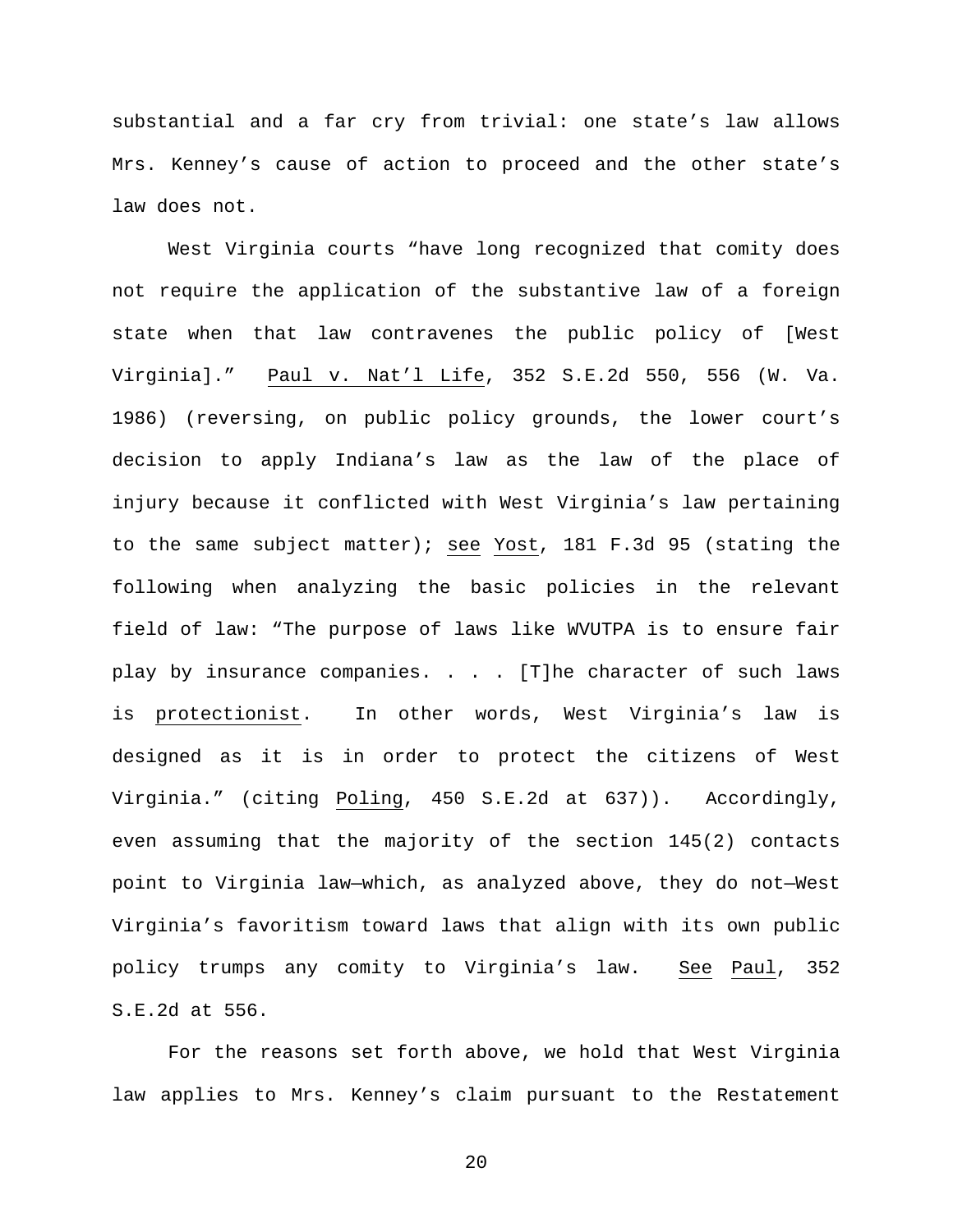substantial and a far cry from trivial: one state's law allows Mrs. Kenney's cause of action to proceed and the other state's law does not.

West Virginia courts "have long recognized that comity does not require the application of the substantive law of a foreign state when that law contravenes the public policy of [West Virginia]." Paul v. Nat'l Life, 352 S.E.2d 550, 556 (W. Va. 1986) (reversing, on public policy grounds, the lower court's decision to apply Indiana's law as the law of the place of injury because it conflicted with West Virginia's law pertaining to the same subject matter); see Yost, 181 F.3d 95 (stating the following when analyzing the basic policies in the relevant field of law: "The purpose of laws like WVUTPA is to ensure fair play by insurance companies. . . . [T]he character of such laws is protectionist. In other words, West Virginia's law is designed as it is in order to protect the citizens of West Virginia." (citing Poling, 450 S.E.2d at 637)). Accordingly, even assuming that the majority of the section 145(2) contacts point to Virginia law—which, as analyzed above, they do not—West Virginia's favoritism toward laws that align with its own public policy trumps any comity to Virginia's law. See Paul, 352 S.E.2d at 556.

For the reasons set forth above, we hold that West Virginia law applies to Mrs. Kenney's claim pursuant to the Restatement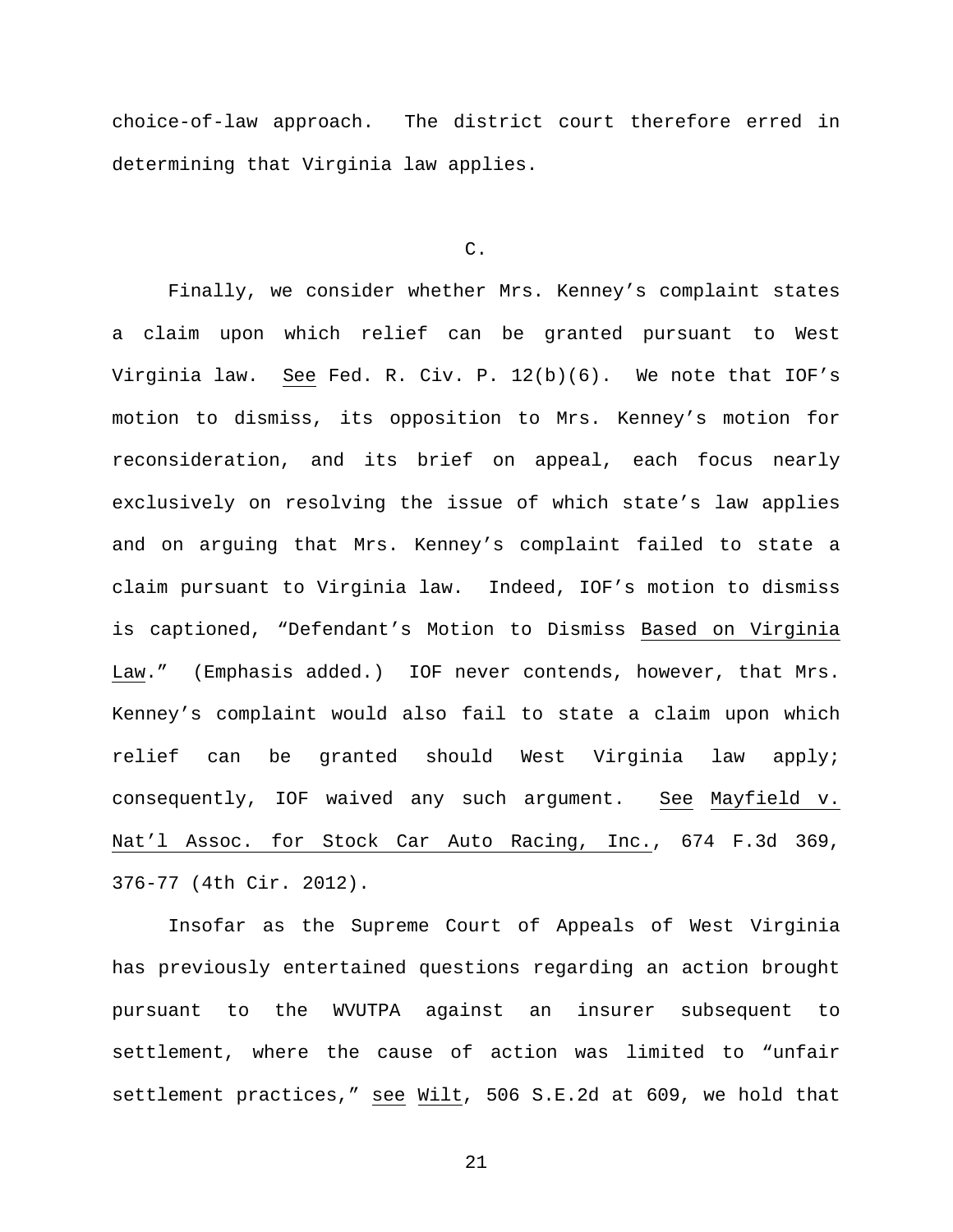choice-of-law approach. The district court therefore erred in determining that Virginia law applies.

# C.

Finally, we consider whether Mrs. Kenney's complaint states a claim upon which relief can be granted pursuant to West Virginia law. See Fed. R. Civ. P. 12(b)(6). We note that IOF's motion to dismiss, its opposition to Mrs. Kenney's motion for reconsideration, and its brief on appeal, each focus nearly exclusively on resolving the issue of which state's law applies and on arguing that Mrs. Kenney's complaint failed to state a claim pursuant to Virginia law. Indeed, IOF's motion to dismiss is captioned, "Defendant's Motion to Dismiss Based on Virginia Law." (Emphasis added.) IOF never contends, however, that Mrs. Kenney's complaint would also fail to state a claim upon which relief can be granted should West Virginia law apply; consequently, IOF waived any such argument. See Mayfield v. Nat'l Assoc. for Stock Car Auto Racing, Inc., 674 F.3d 369, 376-77 (4th Cir. 2012).

Insofar as the Supreme Court of Appeals of West Virginia has previously entertained questions regarding an action brought pursuant to the WVUTPA against an insurer subsequent to settlement, where the cause of action was limited to "unfair settlement practices," see Wilt, 506 S.E.2d at 609, we hold that